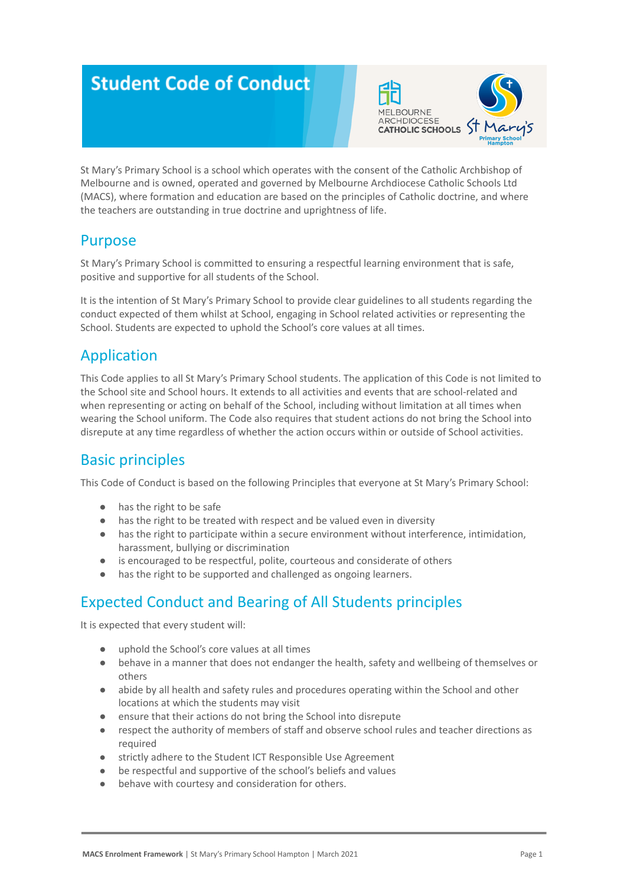# **Student Code of Conduct**



St Mary's Primary School is a school which operates with the consent of the Catholic Archbishop of Melbourne and is owned, operated and governed by Melbourne Archdiocese Catholic Schools Ltd (MACS), where formation and education are based on the principles of Catholic doctrine, and where the teachers are outstanding in true doctrine and uprightness of life.

### Purpose

St Mary's Primary School is committed to ensuring a respectful learning environment that is safe, positive and supportive for all students of the School.

It is the intention of St Mary's Primary School to provide clear guidelines to all students regarding the conduct expected of them whilst at School, engaging in School related activities or representing the School. Students are expected to uphold the School's core values at all times.

# Application

This Code applies to all St Mary's Primary School students. The application of this Code is not limited to the School site and School hours. It extends to all activities and events that are school-related and when representing or acting on behalf of the School, including without limitation at all times when wearing the School uniform. The Code also requires that student actions do not bring the School into disrepute at any time regardless of whether the action occurs within or outside of School activities.

# Basic principles

This Code of Conduct is based on the following Principles that everyone at St Mary's Primary School:

- has the right to be safe
- has the right to be treated with respect and be valued even in diversity
- has the right to participate within a secure environment without interference, intimidation, harassment, bullying or discrimination
- is encouraged to be respectful, polite, courteous and considerate of others
- has the right to be supported and challenged as ongoing learners.

# Expected Conduct and Bearing of All Students principles

It is expected that every student will:

- uphold the School's core values at all times
- behave in a manner that does not endanger the health, safety and wellbeing of themselves or others
- abide by all health and safety rules and procedures operating within the School and other locations at which the students may visit
- ensure that their actions do not bring the School into disrepute
- respect the authority of members of staff and observe school rules and teacher directions as required
- strictly adhere to the Student ICT Responsible Use Agreement
- be respectful and supportive of the school's beliefs and values
- behave with courtesy and consideration for others.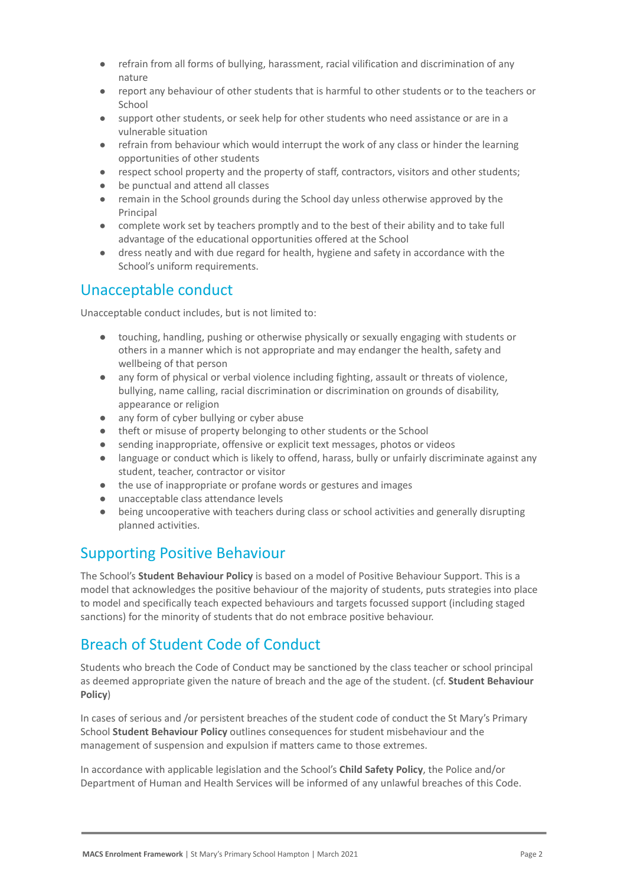- refrain from all forms of bullying, harassment, racial vilification and discrimination of any nature
- report any behaviour of other students that is harmful to other students or to the teachers or School
- support other students, or seek help for other students who need assistance or are in a vulnerable situation
- refrain from behaviour which would interrupt the work of any class or hinder the learning opportunities of other students
- respect school property and the property of staff, contractors, visitors and other students;
- be punctual and attend all classes
- remain in the School grounds during the School day unless otherwise approved by the Principal
- complete work set by teachers promptly and to the best of their ability and to take full advantage of the educational opportunities offered at the School
- dress neatly and with due regard for health, hygiene and safety in accordance with the School's uniform requirements.

### Unacceptable conduct

Unacceptable conduct includes, but is not limited to:

- touching, handling, pushing or otherwise physically or sexually engaging with students or others in a manner which is not appropriate and may endanger the health, safety and wellbeing of that person
- any form of physical or verbal violence including fighting, assault or threats of violence, bullying, name calling, racial discrimination or discrimination on grounds of disability, appearance or religion
- any form of cyber bullying or cyber abuse
- theft or misuse of property belonging to other students or the School
- sending inappropriate, offensive or explicit text messages, photos or videos
- language or conduct which is likely to offend, harass, bully or unfairly discriminate against any student, teacher, contractor or visitor
- the use of inappropriate or profane words or gestures and images
- unacceptable class attendance levels
- being uncooperative with teachers during class or school activities and generally disrupting planned activities.

# Supporting Positive Behaviour

The School's **Student Behaviour Policy** is based on a model of Positive Behaviour Support. This is a model that acknowledges the positive behaviour of the majority of students, puts strategies into place to model and specifically teach expected behaviours and targets focussed support (including staged sanctions) for the minority of students that do not embrace positive behaviour.

# Breach of Student Code of Conduct

Students who breach the Code of Conduct may be sanctioned by the class teacher or school principal as deemed appropriate given the nature of breach and the age of the student. (cf. **Student Behaviour Policy**)

In cases of serious and /or persistent breaches of the student code of conduct the St Mary's Primary School **Student Behaviour Policy** outlines consequences for student misbehaviour and the management of suspension and expulsion if matters came to those extremes.

In accordance with applicable legislation and the School's **Child Safety Policy**, the Police and/or Department of Human and Health Services will be informed of any unlawful breaches of this Code.